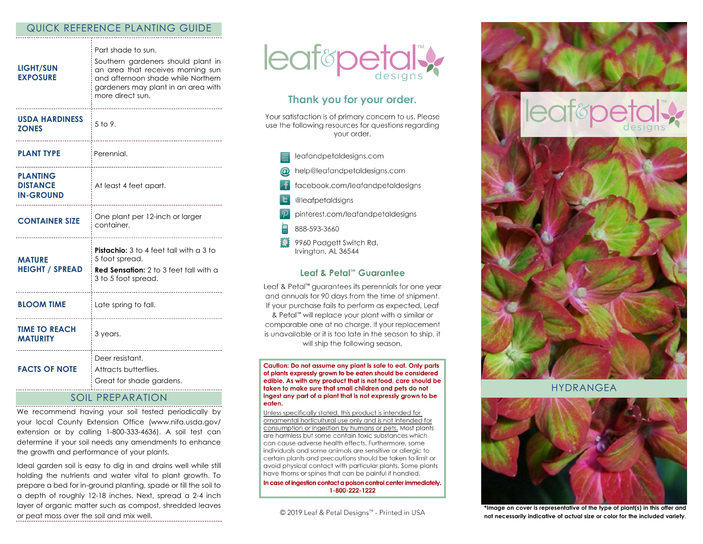#### QUICK REFERENCE PLANTING GUIDE

| <b>LIGHT/SUN</b><br><b>EXPOSURE</b>                    | Part shade to sun.<br>Southern gardeners should plant in<br>an area that receives morning sun<br>and afternoon shade while Northern<br>gardeners may plant in an area with<br>more direct sun. |
|--------------------------------------------------------|------------------------------------------------------------------------------------------------------------------------------------------------------------------------------------------------|
| <b>USDA HARDINESS</b><br><b>ZONES</b>                  | $5$ to 9.<br>------------------------                                                                                                                                                          |
| <b>PLANT TYPE</b>                                      | Perennial.                                                                                                                                                                                     |
| <b>PLANTING</b><br><b>DISTANCE</b><br><b>IN-GROUND</b> | At least 4 feet apart.                                                                                                                                                                         |
| <b>CONTAINER SIZE</b>                                  | One plant per 12-inch or larger<br>container.                                                                                                                                                  |
| <b>MATURE</b><br><b>HEIGHT / SPREAD</b>                | <b>Pistachio:</b> 3 to 4 feet tall with a 3 to<br>5 foot spread.<br><b>Red Sensation:</b> 2 to 3 feet tall with a<br>3 to 5 foot spread.                                                       |
| <b>BLOOM TIME</b>                                      | Late spring to fall.                                                                                                                                                                           |
| <b>TIME TO REACH</b><br><b>MATURITY</b>                | 3 years.                                                                                                                                                                                       |
| <b>FACTS OF NOTE</b>                                   | Deer resistant.<br>Attracts butterflies.<br>Great for shade gardens.                                                                                                                           |

# SOIL PREPARATION

We recommend having your soil tested periodically by your local County Extension Office (www.nifa.usda.gov/ extension or by calling 1-800-333-4636). A soil test can determine if your soil needs any amendments to enhance the growth and performance of your plants.

Ideal garden soil is easy to dig in and drains well while still holding the nutrients and water vital to plant growth. To prepare a bed for in-ground planting, spade or till the soil to a depth of roughly 12-18 inches. Next, spread a 2-4 inch layer of organic matter such as compost, shredded leaves or peat moss over the soil and mix well.



## Thank you for your order.

Your satisfaction is of primary concern to us. Please use the following resources for questions regarding vour order.

- leafandpetaldesigns.com help@leafandpetaldesigns.com facebook.com/leafandpetaldesigns @leafpetaldsigns pinterest.com/leafandpetaldesigns
- 888-593-3660
- 9960 Padgett Switch Rd. Irvington, AL 36544

#### Leaf & Petal™ Guarantee

Leaf & Petal<sup>™</sup> guarantees its perennials for one year and annuals for 90 days from the time of shipment. If your purchase fails to perform as expected, Leaf & Petal™ will replace your plant with a similar or comparable one at no charge. If your replacement is unavailable or it is too late in the season to ship, it will ship the following season.

Caution: Do not assume any plant is safe to eat. Only parts of plants expressly grown to be eaten should be considered edible. As with any product that is not food, care should be taken to make sure that small children and pets do not ingest any part of a plant that is not expressly grown to be eaten.

Unless specifically stated, this product is intended for ornamental horticultural use only and is not intended for consumption or ingestion by humans or pets. Most plants are harmless but some contain toxic substances which can cause adverse health effects. Furthermore, some individuals and some animals are sensitive or allergic to certain plants and precautions should be taken to limit or avoid physical contact with particular plants. Some plants have thorns or spines that can be painful if handled.

In case of ingestion contact a poison control center immediately. 1-800-222-1222

© 2019 Leaf & Petal Designs™ - Printed in USA



HYDRANGEA



**\*Image on cover is representative of the type of plant(s) in this offer and not necessarily indicative of actual size or color for the included variety**.